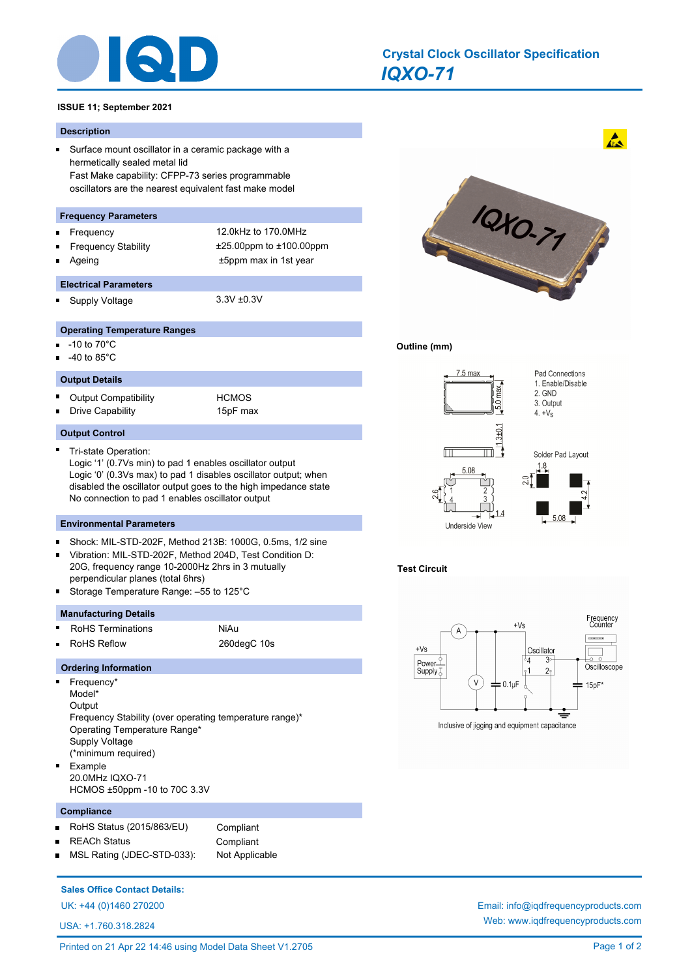

# *IQXO-71* **Crystal Clock Oscillator Specification**

# **ISSUE 11; September 2021**

### **Description**

 $\blacksquare$ Surface mount oscillator in a ceramic package with a hermetically sealed metal lid Fast Make capability: CFPP-73 series programmable oscillators are the nearest equivalent fast make model

# **Frequency Parameters**

- 
- 
- Frequency 12.0kHz to 170.0MHz Frequency Stability ±25.00ppm to ±100.00ppm Ageing the top of the top of the top of the top of the top of the top of the top of the top of the top of the top of the top of the top of the top of the top of the top of the top of the top of the top of the top of the to
- **Electrical Parameters** Supply Voltage 3.3V ±0.3V
	-

### **Operating Temperature Ranges**

- -10 to 70°C  $\blacksquare$
- -40 to 85°C

#### **Output Details**

Output Compatibility **HCMOS** Ē Drive Capability 15pF max n.

# **Output Control**

Tri-state Operation:

Logic '1' (0.7Vs min) to pad 1 enables oscillator output Logic '0' (0.3Vs max) to pad 1 disables oscillator output; when disabled the oscillator output goes to the high impedance state No connection to pad 1 enables oscillator output

#### **Environmental Parameters**

- Shock: MIL-STD-202F, Method 213B: 1000G, 0.5ms, 1/2 sine n.
- Vibration: MIL-STD-202F, Method 204D, Test Condition D: 20G, frequency range 10-2000Hz 2hrs in 3 mutually perpendicular planes (total 6hrs)
- Storage Temperature Range: –55 to 125°C

# **Manufacturing Details**

Ē

- RoHS Terminations NiAu
- RoHS Reflow 260degC 10s

#### **Ordering Information**

- $\blacksquare$ Frequency\* Model\* **Output** Frequency Stability (over operating temperature range)\* Operating Temperature Range\* Supply Voltage (\*minimum required) Example
	- 20.0MHz IQXO-71 HCMOS ±50ppm -10 to 70C 3.3V

#### **Compliance**

×

- RoHS Status (2015/863/EU) Compliant
- REACh Status **Compliant**

MSL Rating (JDEC-STD-033): Not Applicable

# **Sales Office Contact Details:**

UK: +44 (0)1460 270200 Email: info@iqdfrequencyproducts.com

USA: +1.760.318.2824



 $\mathbf{A}$ 

### **Outline (mm)**



# **Test Circuit**



Web: www.iqdfrequencyproducts.com